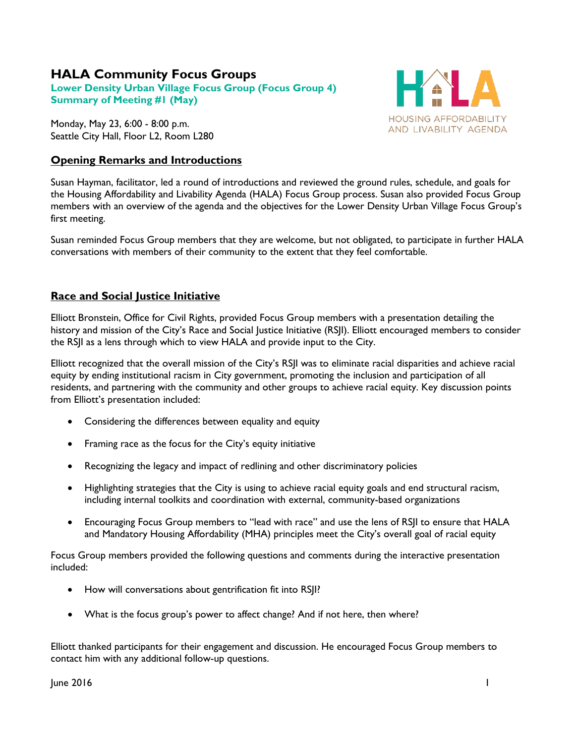# **HALA Community Focus Groups**

**Lower Density Urban Village Focus Group (Focus Group 4) Summary of Meeting #1 (May)**

Monday, May 23, 6:00 - 8:00 p.m. Seattle City Hall, Floor L2, Room L280

# **Opening Remarks and Introductions**



Susan Hayman, facilitator, led a round of introductions and reviewed the ground rules, schedule, and goals for the Housing Affordability and Livability Agenda (HALA) Focus Group process. Susan also provided Focus Group members with an overview of the agenda and the objectives for the Lower Density Urban Village Focus Group's first meeting.

Susan reminded Focus Group members that they are welcome, but not obligated, to participate in further HALA conversations with members of their community to the extent that they feel comfortable.

# **Race and Social Justice Initiative**

Elliott Bronstein, Office for Civil Rights, provided Focus Group members with a presentation detailing the history and mission of the City's Race and Social Justice Initiative (RSJI). Elliott encouraged members to consider the RSJI as a lens through which to view HALA and provide input to the City.

Elliott recognized that the overall mission of the City's RSJI was to eliminate racial disparities and achieve racial equity by ending institutional racism in City government, promoting the inclusion and participation of all residents, and partnering with the community and other groups to achieve racial equity. Key discussion points from Elliott's presentation included:

- Considering the differences between equality and equity
- Framing race as the focus for the City's equity initiative
- Recognizing the legacy and impact of redlining and other discriminatory policies
- Highlighting strategies that the City is using to achieve racial equity goals and end structural racism, including internal toolkits and coordination with external, community-based organizations
- Encouraging Focus Group members to "lead with race" and use the lens of RSJI to ensure that HALA and Mandatory Housing Affordability (MHA) principles meet the City's overall goal of racial equity

Focus Group members provided the following questions and comments during the interactive presentation included:

- How will conversations about gentrification fit into RSJI?
- What is the focus group's power to affect change? And if not here, then where?

Elliott thanked participants for their engagement and discussion. He encouraged Focus Group members to contact him with any additional follow-up questions.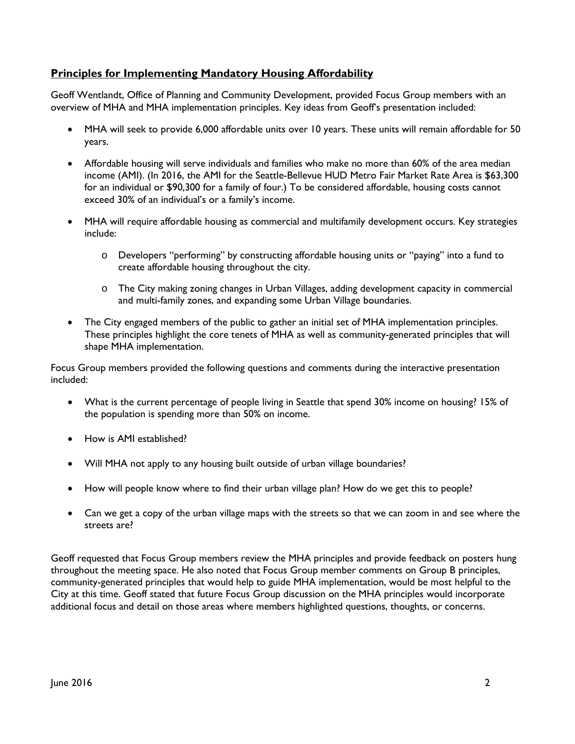# **Principles for Implementing Mandatory Housing Affordability**

Geoff Wentlandt, Office of Planning and Community Development, provided Focus Group members with an overview of MHA and MHA implementation principles. Key ideas from Geoff's presentation included:

- MHA will seek to provide 6,000 affordable units over 10 years. These units will remain affordable for 50 years.
- Affordable housing will serve individuals and families who make no more than 60% of the area median income (AMI). (In 2016, the AMI for the Seattle-Bellevue HUD Metro Fair Market Rate Area is \$63,300 for an individual or \$90,300 for a family of four.) To be considered affordable, housing costs cannot exceed 30% of an individual's or a family's income.
- MHA will require affordable housing as commercial and multifamily development occurs. Key strategies include:
	- o Developers "performing" by constructing affordable housing units or "paying" into a fund to create affordable housing throughout the city.
	- o The City making zoning changes in Urban Villages, adding development capacity in commercial and multi-family zones, and expanding some Urban Village boundaries.
- The City engaged members of the public to gather an initial set of MHA implementation principles. These principles highlight the core tenets of MHA as well as community-generated principles that will shape MHA implementation.

Focus Group members provided the following questions and comments during the interactive presentation included:

- What is the current percentage of people living in Seattle that spend 30% income on housing? 15% of the population is spending more than 50% on income.
- How is AMI established?
- Will MHA not apply to any housing built outside of urban village boundaries?
- How will people know where to find their urban village plan? How do we get this to people?
- Can we get a copy of the urban village maps with the streets so that we can zoom in and see where the streets are?

Geoff requested that Focus Group members review the MHA principles and provide feedback on posters hung throughout the meeting space. He also noted that Focus Group member comments on Group B principles, community-generated principles that would help to guide MHA implementation, would be most helpful to the City at this time. Geoff stated that future Focus Group discussion on the MHA principles would incorporate additional focus and detail on those areas where members highlighted questions, thoughts, or concerns.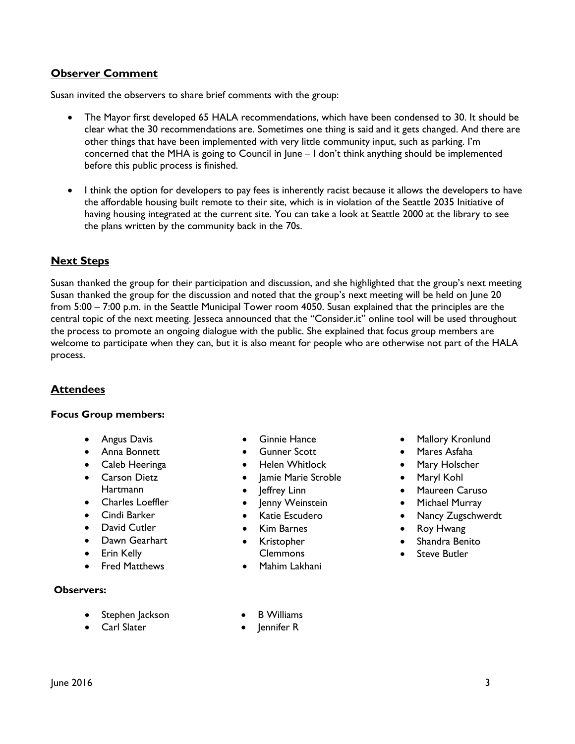# **Observer Comment**

Susan invited the observers to share brief comments with the group:

- The Mayor first developed 65 HALA recommendations, which have been condensed to 30. It should be clear what the 30 recommendations are. Sometimes one thing is said and it gets changed. And there are other things that have been implemented with very little community input, such as parking. I'm concerned that the MHA is going to Council in June – I don't think anything should be implemented before this public process is finished.
- I think the option for developers to pay fees is inherently racist because it allows the developers to have the affordable housing built remote to their site, which is in violation of the Seattle 2035 Initiative of having housing integrated at the current site. You can take a look at Seattle 2000 at the library to see the plans written by the community back in the 70s.

## **Next Steps**

Susan thanked the group for their participation and discussion, and she highlighted that the group's next meeting Susan thanked the group for the discussion and noted that the group's next meeting will be held on June 20 from 5:00 – 7:00 p.m. in the Seattle Municipal Tower room 4050. Susan explained that the principles are the central topic of the next meeting. Jesseca announced that the "Consider.it" online tool will be used throughout the process to promote an ongoing dialogue with the public. She explained that focus group members are welcome to participate when they can, but it is also meant for people who are otherwise not part of the HALA process.

### **Attendees**

#### **Focus Group members:**

- Angus Davis
- Anna Bonnett
- Caleb Heeringa
- Carson Dietz **Hartmann**
- Charles Loeffler
- Cindi Barker
- David Cutler
- Dawn Gearhart
- Erin Kelly
- Fred Matthews

#### **Observers:**

- Stephen Jackson
- Carl Slater
- Ginnie Hance
- Gunner Scott
- Helen Whitlock
- Jamie Marie Stroble
- Jeffrey Linn
- lenny Weinstein
- Katie Escudero
- Kim Barnes
- Kristopher Clemmons
- Mahim Lakhani

**B** Williams lennifer R

- Mallory Kronlund
- Mares Asfaha
- Mary Holscher
- Maryl Kohl
- Maureen Caruso
- Michael Murray
- Nancy Zugschwerdt
- Roy Hwang
- Shandra Benito
- **Steve Butler**